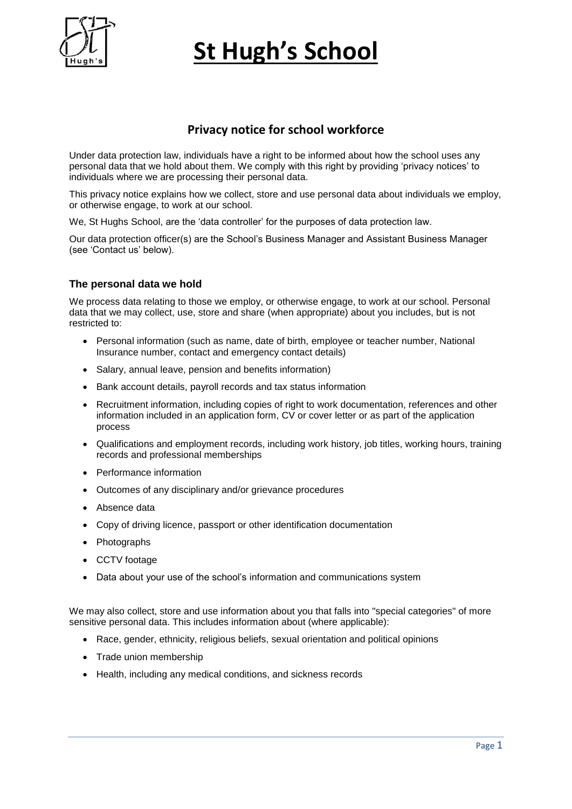

## **Privacy notice for school workforce**

Under data protection law, individuals have a right to be informed about how the school uses any personal data that we hold about them. We comply with this right by providing 'privacy notices' to individuals where we are processing their personal data.

This privacy notice explains how we collect, store and use personal data about individuals we employ, or otherwise engage, to work at our school.

We, St Hughs School, are the 'data controller' for the purposes of data protection law.

Our data protection officer(s) are the School's Business Manager and Assistant Business Manager (see 'Contact us' below).

## **The personal data we hold**

We process data relating to those we employ, or otherwise engage, to work at our school. Personal data that we may collect, use, store and share (when appropriate) about you includes, but is not restricted to:

- Personal information (such as name, date of birth, employee or teacher number, National Insurance number, contact and emergency contact details)
- Salary, annual leave, pension and benefits information)
- Bank account details, payroll records and tax status information
- Recruitment information, including copies of right to work documentation, references and other information included in an application form, CV or cover letter or as part of the application process
- Qualifications and employment records, including work history, job titles, working hours, training records and professional memberships
- Performance information
- Outcomes of any disciplinary and/or grievance procedures
- Absence data
- Copy of driving licence, passport or other identification documentation
- Photographs
- CCTV footage
- Data about your use of the school's information and communications system

We may also collect, store and use information about you that falls into "special categories" of more sensitive personal data. This includes information about (where applicable):

- Race, gender, ethnicity, religious beliefs, sexual orientation and political opinions
- Trade union membership
- Health, including any medical conditions, and sickness records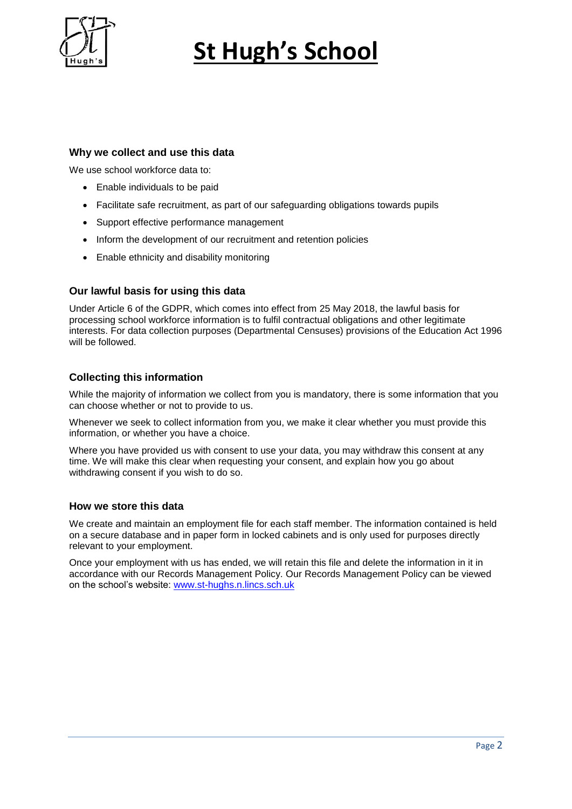

### **Why we collect and use this data**

We use school workforce data to:

- Enable individuals to be paid
- Facilitate safe recruitment, as part of our safeguarding obligations towards pupils
- Support effective performance management
- Inform the development of our recruitment and retention policies
- Enable ethnicity and disability monitoring

#### **Our lawful basis for using this data**

Under Article 6 of the GDPR, which comes into effect from 25 May 2018, the lawful basis for processing school workforce information is to fulfil contractual obligations and other legitimate interests. For data collection purposes (Departmental Censuses) provisions of the Education Act 1996 will be followed.

### **Collecting this information**

While the majority of information we collect from you is mandatory, there is some information that you can choose whether or not to provide to us.

Whenever we seek to collect information from you, we make it clear whether you must provide this information, or whether you have a choice.

Where you have provided us with consent to use your data, you may withdraw this consent at any time. We will make this clear when requesting your consent, and explain how you go about withdrawing consent if you wish to do so.

#### **How we store this data**

We create and maintain an employment file for each staff member. The information contained is held on a secure database and in paper form in locked cabinets and is only used for purposes directly relevant to your employment.

Once your employment with us has ended, we will retain this file and delete the information in it in accordance with our Records Management Policy. Our Records Management Policy can be viewed on the school's website: [www.st-hughs.n.lincs.sch.uk](http://www.st-hughs.n.lincs.sch.uk/)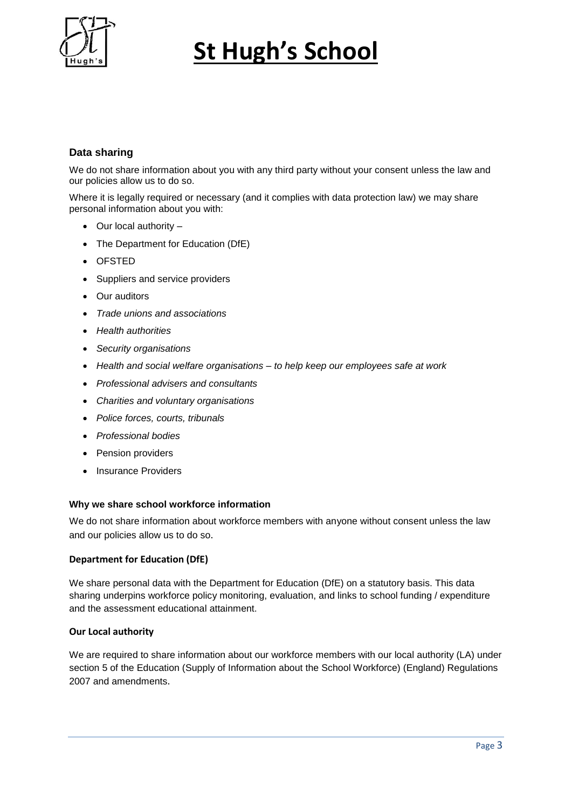

## **Data sharing**

We do not share information about you with any third party without your consent unless the law and our policies allow us to do so.

Where it is legally required or necessary (and it complies with data protection law) we may share personal information about you with:

- $\bullet$  Our local authority –
- The Department for Education (DfE)
- OFSTED
- Suppliers and service providers
- Our auditors
- *Trade unions and associations*
- *Health authorities*
- *Security organisations*
- *Health and social welfare organisations – to help keep our employees safe at work*
- *Professional advisers and consultants*
- *Charities and voluntary organisations*
- *Police forces, courts, tribunals*
- *Professional bodies*
- Pension providers
- Insurance Providers

#### **Why we share school workforce information**

We do not share information about workforce members with anyone without consent unless the law and our policies allow us to do so.

#### **Department for Education (DfE)**

We share personal data with the Department for Education (DfE) on a statutory basis. This data sharing underpins workforce policy monitoring, evaluation, and links to school funding / expenditure and the assessment educational attainment.

#### **Our Local authority**

We are required to share information about our workforce members with our local authority (LA) under section 5 of the Education (Supply of Information about the School Workforce) (England) Regulations 2007 and amendments.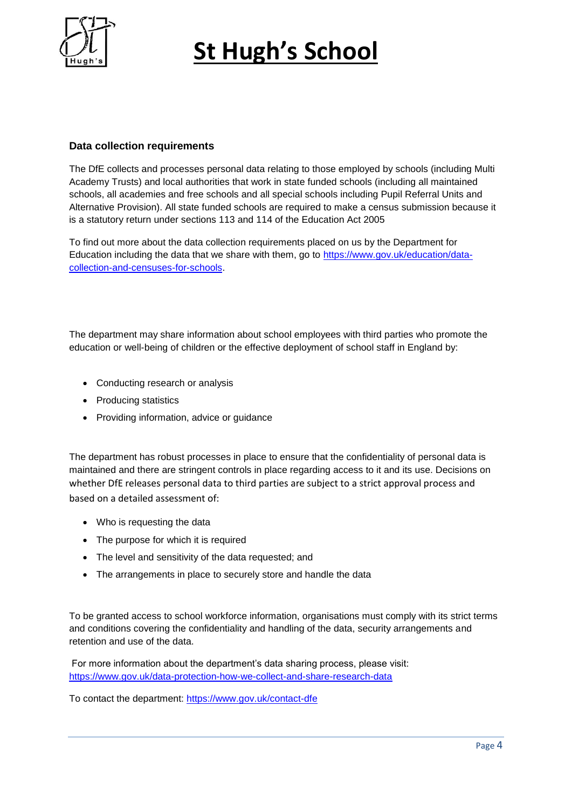

## **Data collection requirements**

The DfE collects and processes personal data relating to those employed by schools (including Multi Academy Trusts) and local authorities that work in state funded schools (including all maintained schools, all academies and free schools and all special schools including Pupil Referral Units and Alternative Provision). All state funded schools are required to make a census submission because it is a statutory return under sections 113 and 114 of the Education Act 2005

To find out more about the data collection requirements placed on us by the Department for Education including the data that we share with them, go to [https://www.gov.uk/education/data](https://www.gov.uk/education/data-collection-and-censuses-for-schools)[collection-and-censuses-for-schools.](https://www.gov.uk/education/data-collection-and-censuses-for-schools)

The department may share information about school employees with third parties who promote the education or well-being of children or the effective deployment of school staff in England by:

- Conducting research or analysis
- Producing statistics
- Providing information, advice or guidance

The department has robust processes in place to ensure that the confidentiality of personal data is maintained and there are stringent controls in place regarding access to it and its use. Decisions on whether DfE releases personal data to third parties are subject to a strict approval process and based on a detailed assessment of:

- Who is requesting the data
- The purpose for which it is required
- The level and sensitivity of the data requested; and
- The arrangements in place to securely store and handle the data

To be granted access to school workforce information, organisations must comply with its strict terms and conditions covering the confidentiality and handling of the data, security arrangements and retention and use of the data.

For more information about the department's data sharing process, please visit: <https://www.gov.uk/data-protection-how-we-collect-and-share-research-data>

To contact the department:<https://www.gov.uk/contact-dfe>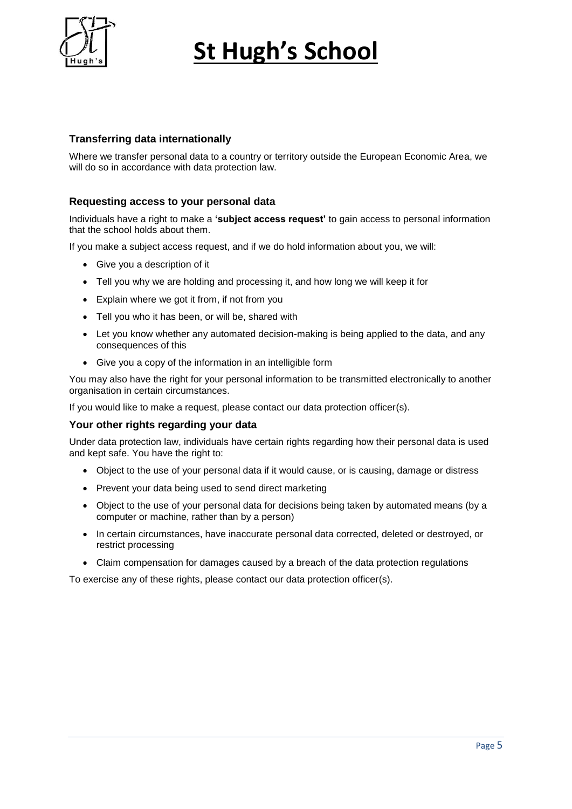

## **Transferring data internationally**

Where we transfer personal data to a country or territory outside the European Economic Area, we will do so in accordance with data protection law.

### **Requesting access to your personal data**

Individuals have a right to make a **'subject access request'** to gain access to personal information that the school holds about them.

If you make a subject access request, and if we do hold information about you, we will:

- Give you a description of it
- Tell you why we are holding and processing it, and how long we will keep it for
- Explain where we got it from, if not from you
- Tell you who it has been, or will be, shared with
- Let you know whether any automated decision-making is being applied to the data, and any consequences of this
- Give you a copy of the information in an intelligible form

You may also have the right for your personal information to be transmitted electronically to another organisation in certain circumstances.

If you would like to make a request, please contact our data protection officer(s).

#### **Your other rights regarding your data**

Under data protection law, individuals have certain rights regarding how their personal data is used and kept safe. You have the right to:

- Object to the use of your personal data if it would cause, or is causing, damage or distress
- Prevent your data being used to send direct marketing
- Object to the use of your personal data for decisions being taken by automated means (by a computer or machine, rather than by a person)
- In certain circumstances, have inaccurate personal data corrected, deleted or destroyed, or restrict processing
- Claim compensation for damages caused by a breach of the data protection regulations

To exercise any of these rights, please contact our data protection officer(s).